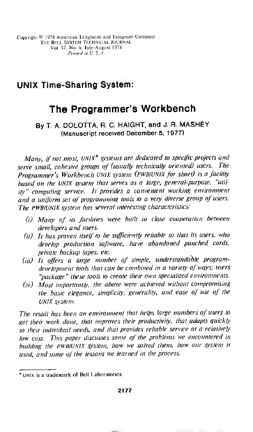## UNIX Time-Sharing System:

# The Programmer's Workbench

By T. A. DOLOTTA, R. C. HAIGHT, and J. R. MASHEY (Manuscript received December 5, 1977)

Many, if not most, UNIX\* systems are dedicated to specific projects and serve small, cohesive groups of (usually technically oriented) users. The Programmer's Workbench UNIX system (PWBIUNIX for short) is a facility based on the UNIX system that serves as a large, general-purpose, "utility" computing service. It provides a convenient working environment and a uniform set of programming tools to a very diverse group of users. The PWBIUNIX system has several interesting characteristics:

- (i) Many of its facilities were built in close cooperation between developers and users.
- (ii) It has proven itself to be sufficiently reliable so that its users, who develop production software, have abandoned punched cards, private backup tapes, etc.
- (iii) It offers a large number of simple, understandable programdevelopment tools that can be combined in a variety of ways; users "package" these tools to create their own specialized environments.
- (iv) Most importantly, the above were achieved without compromising the basic elegance, simplicity, generality, and ease of use of the UNIX system.

The result has been an environment that helps large numbers of users to get their work done, that improves their productivity, that adapts quickly to their individual needs, and that provides reliable service at a relatively low cost. This paper discusses some of the problems we encountered in building the PWB/UNIX system, how we solved them, how our system is used, and some of the lessons we learned in the process.

unix is a trademark of Bell Laboratories.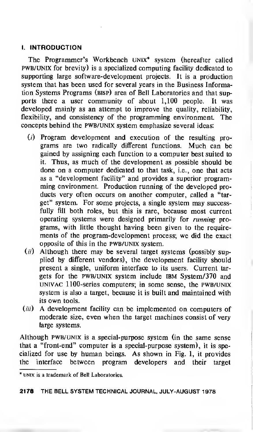## I. INTRODUCTION

The Programmer's Workbench UNIX\* system (hereafter called pwb/unix for brevity) is a specialized computing facility dedicated to supporting large software-development projects. It is a production system that has been used for several years in the Business Information Systems Programs (bisp) area of Bell Laboratories and that supports there a user community of about 1,100 people. It was developed mainly as an attempt to improve the quality, reliability, flexibility, and consistency of the programming environment. The concepts behind the pwb/unix system emphasize several ideas:

- (/) Program development and execution of the resulting programs are two radically different functions. Much can be gained by assigning each function to a computer best suited to it. Thus, as much of the development as possible should be done on a computer dedicated to that task, i.e., one that acts as a "development facility" and provides a superior programming environment. Production running of the developed products very often occurs on another computer, called a "target" system. For some projects, a single system may successfully fill both roles, but this is rare, because most current operating systems were designed primarily for running programs, with little thought having been given to the requirements of the program-development process; we did the exact opposite of this in the PWB/UNIX system.
- $(i)$  Although there may be several target systems (possibly supplied by different vendors), the development facility should present a single, uniform interface to its users. Current targets for the PWB/UNIX system include IBM System/370 and univac 1100-series computers; in some sense, the pwb/unix system is also a target, because it is built and maintained with its own tools.
- (iii) A development facility can be implemented on computers of moderate size, even when the target machines consist of very large systems.

Although pwb/unix is <sup>a</sup> special-purpose system (in the same sense that a "front-end" computer is a special-purpose system), it is specialized for use by human beings. As shown in Fig. 1, it provides the interface between program developers and their target

<sup>\*</sup> unix is a trademark of Bell Laboratories.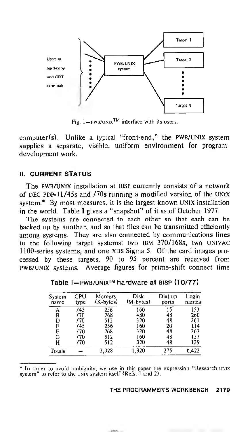

Fig. 1-PWB/UNIX<sup>TM</sup> interface with its users.

 $computer(s)$ . Unlike a typical "front-end," the PWB/UNIX system supplies a separate, visible, uniform environment for programdevelopment work.

#### II. CURRENT STATUS

The PWB/UNtX installation at BISP currently consists of a network of DEC PDP-11 /45s and /70s running <sup>a</sup> modified version of the UNIX system.\* By most measures, it is the largest known UNIX installation in the world. Table <sup>I</sup> gives a "snapshot" of it as of October 1977.

The systems are connected to each other so that each can be backed up by another, and so that files can be transmitted efficiently among systems. They are also connected by communications lines to the following target systems: two IBM 370/168s, two UNIVAC 1100-series systems, and one XDS Sigma 5. Of the card images processed by these targets, 90 to 95 percent are received from pwb/unix systems. Average figures for prime-shift connect time

| System<br>name | CPU<br>type | Memory<br>(K-bytes) | <b>Disk</b><br>(M-bytes) | Diat-up<br>ports | Login<br>names |
|----------------|-------------|---------------------|--------------------------|------------------|----------------|
| А              | /45         | 256                 | 160                      | 15               | 153            |
| B              | /70         | 768                 | 480                      | 48               | 260            |
| D              | /70         | 5t2                 | 320                      | 48               | 361            |
| E              | 745         | 256                 | 160                      | 20               | t 14           |
| F              | /70         | 768                 | 320                      | 48               | 262            |
| G              | /70         | 512                 | 160                      | 48               | 133            |
| H              | /70         | 5t2                 | 320                      | 48               | 139            |
| Totals         |             | 3,328               | 1.920                    | 275              | 1.422          |

Table <sup>I</sup>— pwb/unix™ hardware at bisp (10/77)

In order to avoid ambiguity, we use in this paper the expression "Research unix system" to refer to the UNIX system itself (Refs. 1 and 2).

THE PROGRAMMER'S WORKBENCH 2179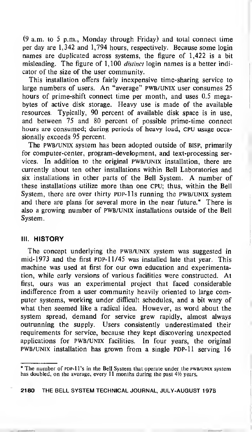(9 a.m. to <sup>5</sup> p.m., Monday through Friday) and total connect time per day are 1,342 and 1,794 hours, respectively. Because some login names are duplicated across systems, the figure of 1,422 is a bit misleading. The figure of 1,100 *distinct* login names is a better indicator of the size of the user community.

This installation offers fairly inexpensive time-sharing service to large numbers of users. An "average" PWB/UNIX user consumes 25 hours of prime-shift connect time per month, and uses 0.5 megabytes of active disk storage. Heavy use is made of the available resources. Typically, 90 percent of available disk space is in use, and between 75 and 80 percent of possible prime-time connect hours are consumed; during periods of heavy load, CPU usage occasionally exceeds 95 percent.

The pwb/unix system has been adopted outside of BISP, primarily for computer-center, program-development, and text-processing services. In addition to the original pwb/unix installation, there are currently about ten other installations within Bell Laboratories and six installations in other parts of the Bell System. A number of these installations utilize more than one CPU; thus, within the Bell System, there are over thirty PDP-11s running the PWB/UNIX system and there are plans for several more in the near future.\* There is also a growing number of pwb/unix installations outside of the Bell System.

#### III. HISTORY

The concept underlying the PWB/UNIX system was suggested in mid-1973 and the first  $PDP-11/45$  was installed late that year. This machine was used at first for our own education and experimentation, while early versions of various facilities were constructed. At first, ours was an experimental project that faced considerable indifference from <sup>a</sup> user community heavily oriented to large computer systems, working under difficult schedules, and a bit wary of what then seemed like a radical idea. However, as word about the system spread, demand for service grew rapidly, almost always outrunning the supply. Users consistently underestimated their requirements for service, because they kept discovering unexpected applications for pwb/unix facilities. In four years, the original pwb/unix installation has grown from <sup>a</sup> single PDP-11 serving 16

#### 2180 THE BELL SYSTEM TECHNICAL JOURNAL, JULY-AUGUST 197B

The number of PDP-IT's in the Bell System that operate under the PWB/UNIX system has doubled, on the average, every  $11$  months during the past  $4\frac{1}{2}$  years.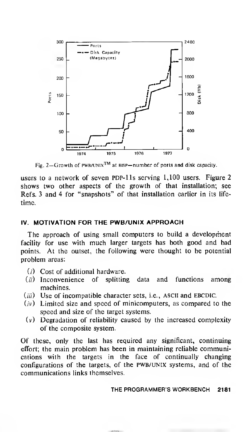

Fig. 2—Growth of PWB/UNIX<sup>TM</sup> at BISP—number of ports and disk capacity.

users to a network of seven PDP-lls serving 1,100 users. Figure 2 shows two other aspects of the growth of that installation; see Refs. 3 and 4 for "snapshots" of that installation earlier in its lifetime.

#### IV. MOTIVATION FOR THE PWB/UNIX APPROACH

The approach of using small computers to build a development facility for use with much larger targets has both good and bad points. At the outset, the following were thought to be potential problem areas:

- (i) Cost of additional hardware.
- $(i)$  Inconvenience of splitting data and functions among machines.
- $(iii)$  Use of incompatible character sets, i.e., ASCII and EBCDIC.
- $(iv)$  Limited size and speed of minicomputers, as compared to the speed and size of the target systems.
- (v) Degradation of reliability caused by the increased complexity of the composite system.

Of these, only the last has required any significant, continuing effort; the main problem has been in maintaining reliable communications with the targets in the face of continually changing configurations of the targets, of the pwb/unix systems, and of the communications links themselves.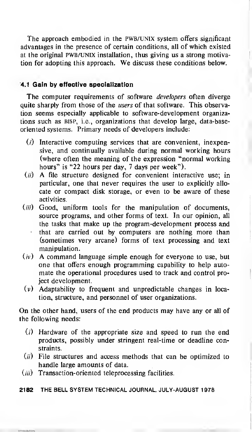The approach embodied in the PWB/UNIX system offers significant advantages in the presence of certain conditions, all of which existed at the original PWB/UNIX installation, thus giving us a strong motivation for adopting this approach. We discuss these conditions below.

## 4.1 Gain by effective specialization

The computer requirements of software *developers* often diverge quite sharply from those of the users of that software. This observation seems especially applicable to software-development organizations such as bisp, i.e., organizations that develop large, data-baseoriented systems. Primary needs of developers include:

- $(i)$  Interactive computing services that are convenient, inexpensive, and continually available during normal working hours (where often the meaning of the expression "normal working hours" is "22 hours per day, 7 days per week").
- $(i)$  A file structure designed for convenient interactive use; in particular, one that never requires the user to explicitly allocate or compact disk storage, or even to be aware of these activities.
- $(iii)$  Good, uniform tools for the manipulation of documents, source programs, and other forms of text. In our opinion, all the tasks that make up the program-development process and that are carried out by computers are nothing more than (sometimes very arcane) forms of text processing and text manipulation.
- $(v)$  A command language simple enough for everyone to use, but one that offers enough programming capability to help automate the operational procedures used to track and control project development.
- (v) Adaptability to frequent and unpredictable changes in location, structure, and personnel of user organizations.

On the other hand, users of the end products may have any or all of the following needs:

- $(i)$  Hardware of the appropriate size and speed to run the end products, possibly under stringent real-time or deadline constraints.
- $(i)$  File structures and access methods that can be optimized to handle large amounts of data.
- $(iii)$  Transaction-oriented teleprocessing facilities.

2182 THE BELL SYSTEM TECHNICAL JOURNAL, JULY-AUGUST 1978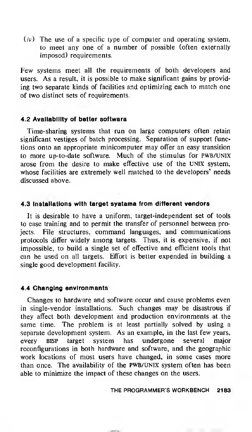$(v)$  The use of a specific type of computer and operating system, to meet any one of a number of possible (often externally imposed) requirements.

Few systems meet all the requirements of both developers and users. As <sup>a</sup> result, it is possible to make significant gains by providing two separate kinds of facilities and optimizing each to match one of two distinct sets of requirements.

#### 4.2 Availability of better softwara

Time-sharing systems that run on large computers often retain significant vestiges of batch processing. Separation of support functions onto an appropriate minicomputer may offer an easy transition to more up-to-date software. Much of the stimulus for PWB/UNIX arose from the desire to make effective use of the UNIX system, whose facilities are extremely well matched to the developers' needs discussed above.

#### 4.3 Installations with target systems from different vendors

It is desirable to have a uniform, target-independent set of tools to ease training and to permit the transfer of personnel between projects. File structures, command languages, and communications protocols differ widely among targets. Thus, it is expensive, if not impossible, to build a single set of effective and efficient tools that can be used on all targets. Effort is better expended in building a single good development facility.

#### 4.4 Changing environments

Changes to hardware and software occur and cause problems even in single-vendor installations. Such changes may be disastrous if they affect both development and production environments at the same time. The problem is at least partially solved by using a separate development system. As an example, in the last few years, every bisp target system has undergone several major reconfigurations in both hardware and software, and the geographic work locations of most users have changed, in some cases more than once. The availability of the pwb/unix system often has been able to minimize the impact of these changes on the users.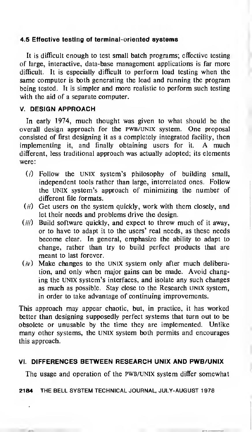## 4.5 Effective testing of terminal-oriented systems

It is difficult enough to test small batch programs; effective testing of large, interactive, data-base management applications is far more difficult. It is especially difficult to perform load testing when the same computer is both generating the load and running the program being tested. It is simpler and more realistic to perform such testing with the aid of a separate computer.

## V. DESIGN APPROACH

In early 1974, much thought was given to what should be the overall design approach for the pwb/unix system. One proposal consisted of first designing it as a completely integrated facility, then implementing it, and finally obtaining users for it. A much different, less traditional approach was actually adopted; its elements were:

- $(i)$  Follow the UNIX system's philosophy of building small, independent tools rather than large, interrelated ones. Follow the UNIX system's approach of minimizing the number of different file formats.
- $(i)$  Get users on the system quickly, work with them closely, and let their needs and problems drive the design.
- $(iii)$  Build software quickly, and expect to throw much of it away, or to have to adapt it to the users' real needs, as these needs become clear. In general, emphasize the ability to adapt to change, rather than try to build perfect products that are meant to last forever.
- $(v)$  Make changes to the UNIX system only after much deliberation, and only when major gains can be made. Avoid changing the unix system's interfaces, and isolate any such changes as much as possible. Stay close to the Research UNIX system, in order to take advantage of continuing improvements.

This approach may appear chaotic, but, in practice, it has worked better than designing supposedly perfect systems that turn out to be obsolete or unusable by the time they are implemented. Unlike many other systems, the UNIX system both permits and encourages this approach.

## VI. DIFFERENCES BETWEEN RESEARCH UNIX AND PWB/UNIX

The usage and operation of the PWB/UNIX system differ somewhat

2184 THE BELL SYSTEM TECHNICAL JOURNAL, JULY-AUGUST <sup>1</sup> 978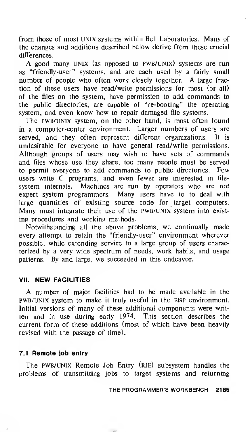from those of most UNIX systems within Bell Laboratories. Many of the changes and additions described below derive from these crucial differences.

A good many UNIX (as opposed to PWB/UNIX) systems are run as "friendly-user" systems, and are each used by a fairly small number of people who often work closely together. A large fraction of these users have read/write permissions for most (or all) of the files on the system, have permission to add commands to the public directories, are capable of "re-booting" the operating system, and even know how to repair damaged file systems.

The PWB/UNIX system, on the other hand, is most often found in a computer-center environment. Larger numbers of users are served, and they often represent different organizations. It is undesirable for everyone to have general read/write permissions. Although groups of users may wish to have sets of commands and files whose use they share, too many people must be served to permit everyone to add commands to public directories. Few users write C programs, and even fewer are interested in filesystem internals. Machines are run by operators who are not expert system programmers. Many users have to to deal with large quantities of existing source code for target computers. Many must integrate their use of the PWB/UNIX system into existing procedures and working methods.

Notwithstanding all the above problems, we continually made every attempt to retain the "friendly-user" environment wherever possible, while extending service to a large group of users characterized by a very wide spectrum of needs, work habits, and usage patterns. By and large, we succeeded in this endeavor.

#### VII. NEW FACILITIES

A number of major facilities had to be made available in the pwb/unix system to make it truly useful in the bisp environment. Initial versions of many of these additional components were written and in use during early 1974. This section describes the current form of these additions (most of which have been heavily revised with the passage of time).

## 7.1 Remote job entry

The PWB/UNIX Remote Job Entry (RJE) subsystem handles the problems of transmitting jobs to target systems and returning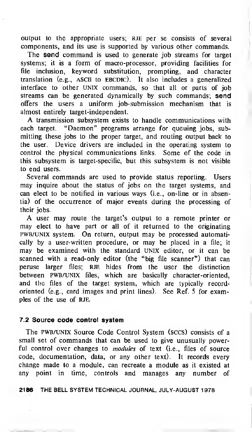output to the appropriate users; RJE per se consists of several components, and its use is supported by various other commands.

The send command is used to generate job streams for target systems; it is a form of macro-processor, providing facilities for file inclusion, keyword substitution, prompting, and character translation (e.g., ASCII to EBCDIC). It also includes a generalized interface to other UNIX commands, so that all or parts of job streams can be generated dynamically by such commands; send offers the users a uniform job-submission mechanism that is almost entirely target-independent.

A transmission subsystem exists to handle communications with each target. "Daemon" programs arrange for queuing jobs, submitting these jobs to the proper target, and routing output back to the user. Device drivers are included in the operating system to control the physical communications links. Some of the code in this subsystem is target-specific, but this subsystem is not visible to end users.

Several commands are used to provide status reporting. Users may inquire about the status of jobs on the target systems, and can elect to be notified in various ways (i.e., on-line or in absentia) of the occurrence of major events during the processing of their jobs.

A user may route the target's output to <sup>a</sup> remote printer or may elect to have part or all of it returned to the originating pwb/unix system. On return, output may be processed automatically by a user-written procedure, or may be placed in a file; it may be examined with the standard UNIX editor, or it can be scanned with a read-only editor (the "big file scanner") that can peruse larger files; RJE hides from the user the distinction between PWB/UNIX files, which are basically character-oriented, and the files of the target system, which are typically recordoriented (e.g., card images and print lines). See Ref. 5 for examples of the use of RJE.

#### 7.2 Source code control system

The PWB/UNIX Source Code Control System (sccs) consists of a small set of commands that can be used to give unusually powerful control over changes to modules of text (i.e., files of source code, documentation, data, or any other text). It records every change made to <sup>a</sup> module, can recreate a module as it existed at any point in time, controls and manages any number of

2186 THE BELL SYSTEM TECHNICAL JOURNAL, JULY-AUGUST 1978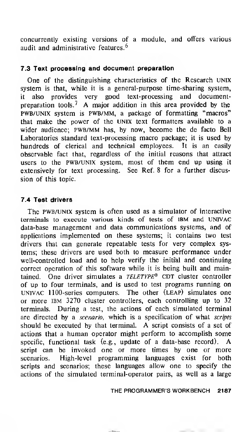concurrently existing versions of a module, and offers various audit and administrative features.<sup>6</sup>

## 7.3 Text processing and document preparation

One of the distinguishing characteristics of the Research UNIX system is that, while it is a general-purpose time-sharing system, it also provides very good text-processing and documentpreparation tools.<sup>7</sup> A major addition in this area provided by the pwb/unix system is pwb/mm, a package of formatting "macros" that make the power of the unix text formatters available to <sup>a</sup> wider audience; pwb/mm has, by now, become the de facto Bell Laboratories standard text-processing macro package; it is used by hundreds of clerical and technical employees. It is an easily observable fact that, regardless of the initial reasons that attract users to the PWB/UNIX system, most of them end up using it extensively for text processing. See Ref. 8 for a further discussion of this topic.

## 7.4 Test drivers

The PWB/UNtX system is often used as a simulator of interactive terminals to execute various kinds of tests of IBM and UNIVAC data-base management and data communications systems, and of applications implemented on these systems; it contains two test drivers that can generate repeatable tests for very complex systems; these drivers are used both to measure performance under well-controlled load and to help verify the initial and continuing correct operation of this software while it is being built and maintained. One driver simulates a  $TELETYPE^{\otimes}$  CDT cluster controller of up to four terminals, and is used to test programs running on univac 1100-series computers. The other (leap) simulates one or more IBM 3270 cluster controllers, each controlling up to 32 terminals. During a test, the actions of each simulated terminal are directed by a scenario, which is a specification of what scripts should be executed by that terminal. A script consists of <sup>a</sup> set of actions that <sup>a</sup> human operator might perform to accomplish some specific, functional task (e.g., update of <sup>a</sup> data-base record). A script can be invoked one or more times by one or more scenarios. High-level programming languages exist for both scripts and scenarios; these languages allow one to specify the actions of the simulated terminal-operator pairs, as well as a large

#### THE PROGRAMMER'S WORKBENCH 2187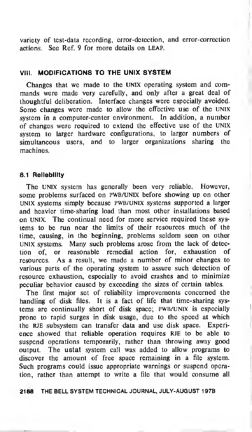variety of test-data recording, error-detection, and error-correction actions. See Ref. 9 for more details on leap.

## VIII. MODIFICATIONS TO THE UNIX SYSTEM

Changes that we made to the UNIX operating system and commands were made very carefully, and only after <sup>a</sup> great deal of thoughtful deliberation. Interface changes were especially avoided. Some changes were made to allow the effective use of the UNIX system in <sup>a</sup> computer-center environment. In addition, <sup>a</sup> number of changes were required to extend the effective use of the UNIX system to larger hardware configurations, to larger numbers of simultaneous users, and to larger organizations sharing the machines.

#### 8.1 Reliability

The UNIX system has generally been very reliable. However, some problems surfaced on PWB/UNIX before showing up on other UNIX systems simply because pwb/unix systems supported a larger and heavier time-sharing load than most other installations based on UNIX. The continual need for more service required these systems to be run near the limits of their resources much of the time, causing, in the beginning, problems seldom seen on other UNIX systems. Many such problems arose from the lack of detection of, or reasonable remedial action for, exhaustion of resources. As <sup>a</sup> result, we made a number of minor changes to various parts of the operating system to assure such detection of resource exhaustion, especially to avoid crashes and to minimize peculiar behavior caused by exceeding the sizes of certain tables.

The first major set of reliability improvements concerned the handling of disk files. It is a fact of life that time-sharing systems are continually short of disk space; pwb/unix is especially prone to rapid surges in disk usage, due to the speed at which the RJE subsystem can transfer data and use disk space. Experience showed that reliable operation requires RJE to be able to suspend operations temporarily, rather than throwing away good output. The ustat system call was added to allow programs to discover the amount of free space remaining in a file system. Such programs could issue appropriate warnings or suspend operation, rather than attempt to write a file that would consume all

2188 THE BELL SYSTEM TECHNICAL JOURNAL, JULY-AUGUST 197B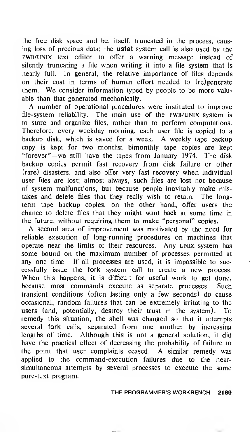the free disk space and be, itself, truncated in the process, causing loss of precious data; the ustat system call is also used by the pwb/unix text editor to offer <sup>a</sup> warning message instead of silently truncating <sup>a</sup> file when writing it into a file system that is nearly full. In general, the relative importance of files depends on their cost in terms of human effort needed to (re)generate them. We consider information typed by people to be more valuable than that generated mechanically.

A number of operational procedures were instituted to improve file-system reliability. The main use of the PWB/UNIX system is to store and organize files, rather than to perform computations. Therefore, every weekday morning, each user file is copied to a backup disk, which is saved for <sup>a</sup> week. A weekly tape backup copy is kept for two months; bimonthly tape copies are kept "forever"— we still have the tapes from January 1974. The disk backup copies permit fast recovery from disk failure or other (rare) disasters, and also offer very fast recovery when individual user files are lost; almost always, such files are lost not because of system malfunctions, but because people inevitably make mistakes and delete files that they really wish to retain. The longterm tape backup copies, on the other hand, offer users the chance to delete files that they might want back at some time in the future, without requiring them to make "personal" copies.

A second area of improvement was motivated by the need for reliable execution of long-running procedures on machines that operate near the limits of their resources. Any UNIX system has some bound on the maximum number of processes permitted at any one time. If all processes are used, it is impossible to successfully issue the fork system call to create a new process. When this happens, it is difficult for useful work to get done, because most commands execute as separate processes. Such transient conditions (often lasting only a few seconds) do cause occasional, random failures that can be extremely irritating to the users (and, potentially, destroy their trust in the system). To remedy this situation, the shell was changed so that it attempts several fork calls, separated from one another by increasing lengths of time. Although this is not a general solution, it did have the practical effect of decreasing the probability of failure to the point that user complaints ceased. A similar remedy was applied to the command-execution failures due to the nearsimultaneous attempts by several processes to execute the same pure-text program.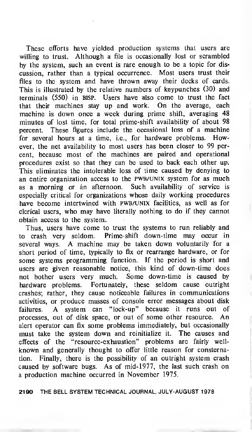These efforts have yielded production systems that users are willing to trust. Although a file is occasionally lost or scrambled by the system, such an event is rare enough to be a topic for discussion, rather than <sup>a</sup> typical occurrence. Most users trust their files to the system and have thrown away their decks of cards. This is illustrated by the relative numbers of keypunches (30) and terminals (550) in BISP. Users have also come to trust the fact that their machines stay up and work. On the average, each machine is down once a week during prime shift, averaging 48 minutes of lost time, for total prime-shift availability of about 98 percent. These figures include the occasional loss of a machine for several hours at <sup>a</sup> time, i.e., for hardware problems. However, the net availability to most users has been closer to 99 percent, because most of the machines are paired and operational procedures exist so that they can be used to back each other up. This eliminates the intolerable loss of time caused by denying to an entire organization access to the PWB/UNIX system for as much as a morning or an afternoon. Such availability of service is especially critical for organizations whose daily working procedures have become intertwined with PWB/UNIX facilities, as well as for clerical users, who may have literally nothing to do if they cannot obtain access to the system.

Thus, users have come to trust the systems to run reliably and to crash very seldom. Prime-shift down-time may occur in several ways. A machine may be taken down voluntarily for <sup>a</sup> short period of time, typically to fix or rearrange hardware, or for some systems programming function. If the period is short and users are given reasonable notice, this kind of down-time does not bother users very much. Some down-time is caused by hardware problems. Fortunately, these seldom cause outright crashes; rather, they cause noticeable failures in communications activities, or produce masses of console error messages about disk failures. A system can "lock-up" because it runs out of processes, out of disk space, or out of some other resource. An alert operator can fix some problems immediately, but occasionally must take the system down and reinitialize it. The causes and effects of the "resource-exhaustion" problems are fairly wellknown and generally thought to offer little reason for consternation. Finally, there is the possibility of an outright system crash caused by software bugs. As of mid-1977, the last such crash on <sup>a</sup> production machine occurred in November 1975.

2190 THE BELL SYSTEM TECHNICAL JOURNAL, JULY-AUGUST 1978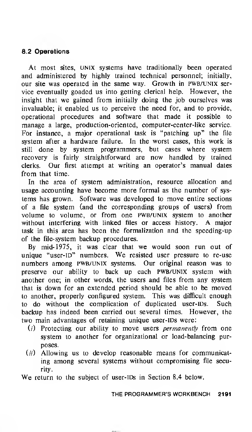## 8.2 Operations

At most sites, UNIX systems have traditionally been operated and administered by highly trained technical personnel; initially, our site was operated in the same way. Growth in PWB/UNIX service eventually goaded us into getting clerical help. However, the insight that we gained from initially doing the job ourselves was invaluable; it enabled us to perceive the need for, and to provide, operational procedures and software that made it possible to manage a large, production-oriented, computer-center-like service. For instance, a major operational task is "patching up" the file system after a hardware failure. In the worst cases, this work is still done by system programmers, but cases where system recovery is fairly straightforward are now handled by trained clerks. Our first attempt at writing an operator's manual dates from that time.

In the area of system administration, resource allocation and usage accounting have become more formal as the number of systems has grown. Software was developed to move entire sections of a file system (and the corresponding groups of users) from volume to volume, or from one PWB/UNIX system to another without interfering with linked files or access history. A major task in this area has been the formalization and the speeding-up of the file-system backup procedures.

By mid- 1975, it was clear that we would soon run out of unique "user-ID" numbers. We resisted user pressure to re-use numbers among pwb/unix systems. Our original reason was to preserve our ability to back up each pwb/unix system with another one; in other words, the users and files from any system that is down for an extended period should be able to be moved to another, properly configured system. This was difficult enough to do without the complication of duplicated user-IDs. Such backup has indeed been carried out several times. However, the two main advantages of retaining unique user-IDs were:

- $(i)$  Protecting our ability to move users *permanently* from one system to another for organizational or load-balancing purposes.
- $(i)$  Allowing us to develop reasonable means for communicating among several systems without compromising file security.

We return to the subject of user-IDs in Section 8.4 below.

THE PROGRAMMER'S WORKBENCH 2191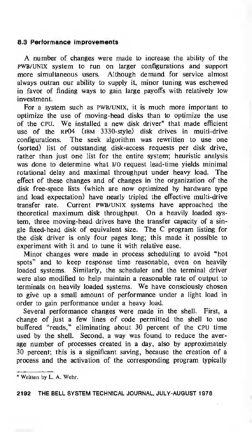## 8.3 Performance improvements

A number of changes were made to increase the ability of the pwb/unix system to run on larger configurations and support more simultaneous users. Although demand for service almost always outran our ability to supply it, minor tuning was eschewed in favor of finding ways to gain large payoffs with relatively low investment.

For a system such as PWB/UNIX, it is much more important to optimize the use of moving-head disks than to optimize the use of the CPU. We installed <sup>a</sup> new disk driver\* that made efficient use of the rp04 (ibm 3330-style) disk drives in multi-drive configurations. The seek algorithm was rewritten to use one (sorted) list of outstanding disk-access requests per disk drive, rather than just one list for the entire system; heuristic analysis was done to determine what I/O request lead-time yields minimal rotational delay and maximal throughput under heavy load. The effect of these changes and of changes in the organization of the disk free-space lists (which are now optimized by hardware type and load expectation) have nearly tripled the effective multi-drive transfer rate. Current pwb/unix systems have approached the theoretical maximum disk throughput. On <sup>a</sup> heavily loaded system, three moving- head drives have the transfer capacity of a single fixed- head disk of equivalent size. The C program listing for the disk driver is only four pages long; this made it possible to experiment with it and to tune it with relative ease.

Minor changes were made in process scheduling to avoid "hot spots" and to keep response time reasonable, even on heavily loaded systems. Similarly, the scheduler and the terminal driver were also modified to help maintain a reasonable rate of output to terminals on heavily loaded systems. We have consciously chosen to give up a small amount of performance under a light load in order to gain performance under a heavy load.

Several performance changes were made in the shell. First, a change of just a few lines of code permitted the shell to use buffered "reads," eliminating about 30 percent of the CPU time used by the shell. Second, a way was found to reduce the average number of processes created in a day, also by approximately 30 percent; this is a significant saving, because the creation of a process and the activation of the corresponding program typically

<sup>\*</sup> Written by L. A. Wehr.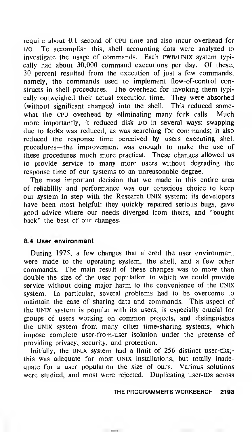require about 0.1 second of CPU time and also incur overhead for I/O. To accomplish this, shell accounting data were analyzed to investigate the usage of commands. Each PWB/UNIX system typically had about 30,000 command executions per day. Of these, 30 percent resulted from the execution of just a few commands, namely, the commands used to implement flow-of-control constructs in shell procedures. The overhead for invoking them typically outweighed their actual execution time. They were absorbed (without significant changes) into the shell. This reduced somewhat the CPU overhead by eliminating many fork calls. Much more importantly, it reduced disk I/O in several ways: swapping due to forks was reduced, as was searching for commands; it also reduced the response time perceived by users executing shell procedures— the improvement was enough to make the use of these procedures much more practical. These changes allowed us to provide service to many more users without degrading the response time of our systems to an unreasonable degree.

The most important decision that we made in this entire area of reliability and performance was our conscious choice to keep our system in step with the Research UNIX system; its developers have been most helpful: they quickly repaired serious bugs, gave good advice where our needs diverged from theirs, and "bought back" the best of our changes.

## 8.4 User environment

During 1975, a few changes that altered the user environment were made to the operating system, the shell, and <sup>a</sup> few other commands. The main result of these changes was to more than double the size of the user population to which we could provide service without doing major harm to the convenience of the UNIX system. In particular, several problems had to be overcome to maintain the ease of sharing data and commands. This aspect of the UNIX system is popular with its users, is especially crucial for groups of users working on common projects, and distinguishes the UNIX system from many other time-sharing systems, which impose complete user-from-user isolation under the pretense of providing privacy, security, and protection.

Initially, the UNIX system had a limit of 256 distinct user-tDs;<sup>1</sup> this was adequate for most UNIX installations, but totally inadequate for a user population the size of ours. Various solutions were studied, and most were rejected. Duplicating user-tDs across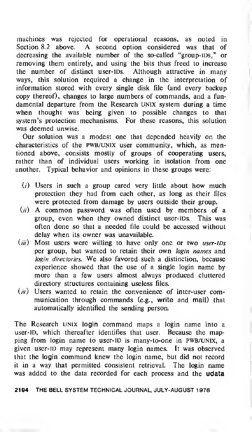machines was rejected for operational reasons, as noted in Section 8.2 above. A second option considered was that of decreasing the available number of the so-called "group-IDs," or removing them entirely, and using the bits thus freed to increase the number of distinct user-IDs. Although attractive in many ways, this solution required a change in the interpretation of information stored with every single disk file (and every backup copy thereof), changes to large numbers of commands, and a fundamental departure from the Research UNIX system during a time when thought was being given to possible changes to that system's protection mechanisms. For these reasons, this solution was deemed unwise.

Our solution was <sup>a</sup> modest one that depended heavily on the characteristics of the PWB/UNIX user community, which, as mentioned above, consists mostly of groups of cooperating users, rather than of individual users working in isolation from one another. Typical behavior and opinions in these groups were:

- $(i)$  Users in such a group cared very little about how much protection they had from each other, as long as their files were protected from damage by users outside their group.
- $(ii)$  A common password was often used by members of a group, even when they owned distinct user-IDs. This was often done so that a needed file could be accessed without delay when its owner was unavailable.
- $(iii)$  Most users were willing to have only one or two *user-IDs* per group, but wanted to retain their own *login names* and login directories. We also favored such <sup>a</sup> distinction, because experience showed that the use of a single login name by more than a few users almost always produced cluttered directory structures containing useless files.
- $(iv)$  Users wanted to retain the convenience of inter-user communication through commands (e.g., write and mail) that automatically identified the sending person.

The Research UNIX login command maps <sup>a</sup> login name into <sup>a</sup> user-ID, which thereafter identifies that user. Because the mapping from login name to user-ID is many-to-one in pwb/unix, a given user-ID may represent many login names. It was observed that the login command knew the login name, but did not record it in <sup>a</sup> way that permitted consistent retrieval. The login name was added to the data recorded for each process and the udata

2194 THE BELL SYSTEM TECHNICAL JOURNAL, JULY-AUGUST <sup>1</sup> 978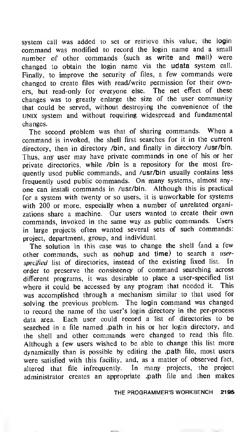system call was added to set or retrieve this value; the login command was modified to record the login name and <sup>a</sup> small number of other commands (such as write and mail) were changed to obtain the login name via the udata system call. Finally, to improve the security of files, <sup>a</sup> few commands were changed to create files with read/write permission for their owners, but read-only for everyone else. The net effect of these changes was to greatly enlarge the size of the user community that could be served, without destroying the convenience of the UNIX system and without requiring widespread and fundamental changes.

The second problem was that of sharing commands. When <sup>a</sup> command is invoked, the shell first searches for it in the current directory, then in directory /bin, and finally in directory /usr/bin. Thus, any user may have private commands in one of his or her private directories, while /bin is a repository for the most frequently used public commands, and /usr/bin usually contains less frequently used public commands. On many systems, almost anyone can install commands in /usr/bin. Although this is practical for <sup>a</sup> system with twenty or so users, it is unworkable for systems with 200 or more, especially when <sup>a</sup> number of unrelated organizations share <sup>a</sup> machine. Our users wanted to create their own commands, invoked in the same way as public commands. Users in large projects often wanted several sets of such commands: project, department, group, and individual.

The solution in this case was to change the shell (and <sup>a</sup> few other commands, such as nohup and time) to search a userspecified list of directories, instead of the existing fixed list. In order to preserve the consistency of command searching across different programs, it was desirable to place a user-specified list where it could be accessed by any program that needed it. This was accomplished through <sup>a</sup> mechanism similar to that used for solving the previous problem. The login command was changed to record the name of the user's login directory in the per-process data area. Each user could record <sup>a</sup> list of directories to be searched in a file named .path in his or her login directory, and the shell and other commands were changed to read this file. Although <sup>a</sup> few users wished to be able to change this list more dynamically than is possible by editing the .path file, most users were satisfied with this facility, and, as a matter of observed fact, altered that file infrequently. In many projects, the project administrator creates an appropriate .path file and then makes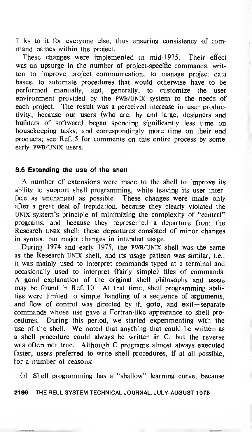links to it for everyone else, thus ensuring consistency of com mand names within the project.

These changes were implemented in mid- 1975. Their effect was an upsurge in the number of project-specific commands, written to improve project communication, to manage project data bases, to automate procedures that would otherwise have to be performed manually, and, generally, to customize the user environment provided by the PWB/unix system to the needs of each project. The result was a perceived increase in user productivity, because our users (who are, by and large, designers and builders of software) began spending significantly less time on housekeeping tasks, and correspondingly more time on their end products; see Ref. <sup>5</sup> for comments on this entire process by some early PWB/UNIX users.

## 8.5 Extending the use of the shell

A number of extensions were made to the shell to improve its ability to support shell programming, while leaving its user interface as unchanged as possible. These changes were made only after a great deal of trepidation, because they clearly violated the UNIX system's principle of minimizing the complexity of "central" programs, and because they represented a departure from the Research UNIX shell; these departures consisted of minor changes in syntax, but major changes in intended usage.

During 1974 and early 1975, the PWB/UNIX shell was the same as the Research UNIX shell, and its usage pattern was similar, i.e., it was mainly used to interpret commands typed at a terminal and occasionally used to interpret (fairly simple) files of commands. A good explanation of the original shell philosophy and usage may be found in Ref. 10. At that time, shell programming abilities were limited to simple handling of a sequence of arguments, and flow of control was directed by if, goto, and exit— separate commands whose use gave <sup>a</sup> Fortran-like appearance to shell procedures. During this period, we started experimenting with the use of the shell. We noted that anything that could be written as a shell procedure could always be written in C, but the reverse was often not true. Although C programs almost always executed faster, users preferred to write shell procedures, if at all possible, for a number of reasons:

 $(i)$  Shell programming has a "shallow" learning curve, because

2196 THE BELL SYSTEM TECHNICAL JOURNAL, JULY-AUGUST <sup>1</sup>978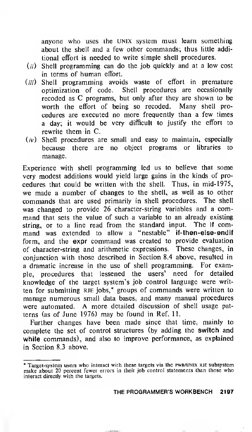anyone who uses the UNIX system must learn something about the shell and a few other commands; thus little additional effort is needed to write simple shell procedures.

- $(i)$  Shell programming can do the job quickly and at a low cost in terms of human effort.
- $(iii)$  Shell programming avoids waste of effort in premature optimization of code. Shell procedures are occasionally recoded as C programs, but only after they are shown to be worth the effort of being so recoded. Many shell procedures are executed no more frequently than a few times a day; it would be very difficult to justify the effort to rewrite them in C.
- $(iv)$  Shell procedures are small and easy to maintain, especially because there are no object programs or libraries to manage.

Experience with shell programming led us to believe that some very modest additions would yield large gains in the kinds of procedures that could be written with the shell. Thus, in mid-1975, we made <sup>a</sup> number of changes to the shell, as well as to other commands that are used primarily in shell procedures. The shell was changed to provide 26 character-string variables and a command that sets the value of such a variable to an already existing string, or to <sup>a</sup> line read from the standard input. The if command was extended to allow <sup>a</sup> "nestable" if-then-else-endif form, and the expr command was created to provide evaluation of character-string and arithmetic expressions. These changes, in conjunction with those described in Section 8.4 above, resulted in a dramatic increase in the use of shell programming. For example, procedures that lessened the users' need for detailed knowledge of the target system's job control language were written for submitting RJE jobs,\* groups of commands were written to manage numerous small data bases, and many manual procedures were automated. A more detailed discussion of shell usage patterns (as of June 1976) may be found in Ref. 11.

Further changes have been made since that time, mainly to complete the set of control structures (by adding the switch and while commands), and also to improve performance, as explained in Section 8.3 above.

<sup>\*</sup> Target-system users who interact with these targets via the pwb/unix rje subsystem make about <sup>20</sup> percent fewer errors in their job control statements than those who interact directly with the targets.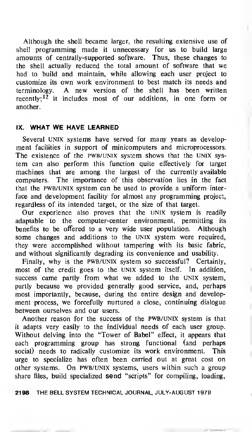Although the shell became larger, the resulting extensive use of shell programming made it unnecessary for us to build large amounts of centrally-supported software. Thus, these changes to the shell actually reduced the total amount of software that we had to build and maintain, while allowing each user project to customize its own work environment to best match its needs and terminology. A new version of the shell has been written recently; <sup>12</sup> it includes most of our additions, in one form or another.

### IX. WHAT WE HAVE LEARNED

Several UNIX systems have served for many years as development facilities in support of minicomputers and microprocessors. The existence of the PWB/UNIX system shows that the UNIX system can also perform this function quite effectively for target machines that are among the largest of the currently available computers. The importance of this observation lies in the fact that the pwb/unix system can be used to provide a uniform interface and development facility for almost any programming project, regardless of its intended target, or the size of that target.

Our experience also proves that the UNIX system is readily adaptable to the computer-center environment, permitting its benefits to be offered to a very wide user population. Although some changes and additions to the UNIX system were required, they were accomplished without tampering with its basic fabric, and without significantly degrading its convenience and usability.

Finally, why is the PWB/UNIX system so successful? Certainly, most of the credit goes to the UNIX system itself. In addition, success came partly from what we added to the UNIX system, partly because we provided generally good service, and, perhaps most importantly, because, during the entire design and development process, we forcefully nurtured <sup>a</sup> close, continuing dialogue between ourselves and our users.

Another reason for the success of the PWB/UNIX system is that it adapts very easily to the individual needs of each user group. Without delving into the "Tower of Babel" effect, it appears that each programming group has strong functional (and perhaps social) needs to radically customize its work environment. This urge to specialize has often been carried out at great cost on other systems. On pwb/unix systems, users within such <sup>a</sup> group share files, build specialized send "scripts" for compiling, loading,

21 98 THE BELL SYSTEM TECHNICAL JOURNAL, JULY-AUGUST <sup>1</sup>978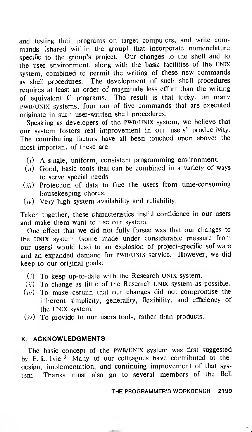and testing their programs on target computers, and write commands (shared within the group) that incorporate nomenclature specific to the group's project. Our changes to the shell and to the user environment, along with the basic facilities of the UNIX system, combined to permit the writing of these new commands as shell procedures. The development of such shell procedures requires at least an order of magnitude less effort than the writing of equivalent C programs. The result is that today, on many pwb/unix systems, four out of five commands that are executed originate in such user-written shell procedures.

Speaking as developers of the PWB/UNIX system, we believe that our system fosters real improvement in our users' productivity. The contributing factors have all been touched upon above; the most important of these are:

- (/) A single, uniform, consistent programming environment.
- $(i)$  Good, basic tools that can be combined in a variety of ways to serve special needs.
- $(iii)$  Protection of data to free the users from time-consuming housekeeping chores.
- $(v)$  Very high system availability and reliability.

Taken together, these characteristics instill confidence in our users and make them want to use our system.

One effect that we did not fully forsee was that our changes to the UNIX system (some made under considerable pressure from our users) would lead to an explosion of project-specific software and an expanded demand for pwb/unix service. However, we did keep to our original goals:

- (/) To keep up-to-date with the Research UNIX system.
- $(i)$  To change as little of the Research UNIX system as possible.
- (*iii*) To make certain that our changes did not compromise the inherent simplicity, generality, flexibility, and efficiency of the UNIX system.
- $(i)$  To provide to our users tools, rather than products.

#### X. ACKNOWLEDGMENTS

The basic concept of the pwb/unix system was first suggested by E. L. Ivie.<sup>3</sup> Many of our colleagues have contributed to the design, implementation, and continuing improvement of that system. Thanks must also go to several members of the Bell